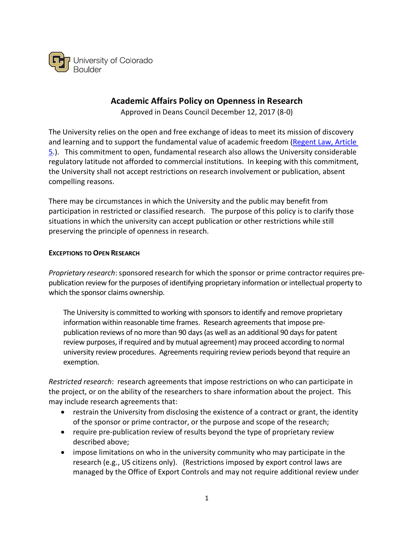

## **Academic Affairs Policy on Openness in Research**

Approved in Deans Council December 12, 2017 (8-0)

The University relies on the open and free exchange of ideas to meet its mission of discovery and learning and to support the fundamental value of academic freedom (Regent Law, Article 5.). This commitment to open, fundamental research also allows the University considerable regulatory latitude not afforded to commercial institutions. In keeping with this commitment, the University shall not accept restrictions on research involvement or publication, absent compelling reasons.

There may be circumstances in which the University and the public may benefit from participation in restricted or classified research. The purpose of this policy is to clarify those situations in which the university can accept publication or other restrictions while still preserving the principle of openness in research.

#### **EXCEPTIONS TO OPEN RESEARCH**

*Proprietary research*: sponsored research for which the sponsor or prime contractor requires prepublication review for the purposes of identifying proprietary information or intellectual property to which the sponsor claims ownership.

The University is committed to working with sponsors to identify and remove proprietary information within reasonable time frames. Research agreements that impose prepublication reviews of no more than 90 days (as well as an additional 90 days for patent review purposes, if required and by mutual agreement) may proceed according to normal university review procedures. Agreements requiring review periods beyond that require an exemption.

*Restricted research*: research agreements that impose restrictions on who can participate in the project, or on the ability of the researchers to share information about the project. This may include research agreements that:

- restrain the University from disclosing the existence of a contract or grant, the identity of the sponsor or prime contractor, or the purpose and scope of the research;
- require pre-publication review of results beyond the type of proprietary review described above;
- impose limitations on who in the university community who may participate in the research (e.g., US citizens only). (Restrictions imposed by export control laws are managed by the Office of Export Controls and may not require additional review under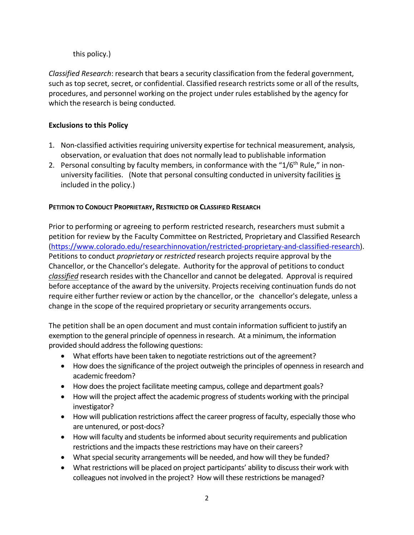# this policy.)

*Classified Research*: research that bears a security classification from the federal government, such as top secret, secret, or confidential. Classified research restricts some or all of the results, procedures, and personnel working on the project under rules established by the agency for which the research is being conducted.

## **Exclusions to this Policy**

- 1. Non-classified activities requiring university expertise for technical measurement, analysis, observation, or evaluation that does not normally lead to publishable information
- 2. Personal consulting by faculty members, in conformance with the " $1/6<sup>th</sup>$  Rule," in nonuniversity facilities. (Note that personal consulting conducted in university facilities is included in the policy.)

# **PETITION TO CONDUCT PROPRIETARY, RESTRICTED OR CLASSIFIED RESEARCH**

Prior to performing or agreeing to perform restricted research, researchers must submit a petition for review by the Faculty Committee on Restricted, Proprietary and Classified Research (https://www.colorado.edu/researchinnovation/restricted-proprietary-and-classified-research). Petitions to conduct *proprietary* or *restricted* research projects require approval by the Chancellor, or the Chancellor's delegate. Authority for the approval of petitionsto conduct *classified* research resides with the Chancellor and cannot be delegated. Approval isrequired before acceptance of the award by the university. Projects receiving continuation funds do not require either further review or action by the chancellor, or the chancellor's delegate, unless a change in the scope of the required proprietary or security arrangements occurs.

The petition shall be an open document and must contain information sufficient to justify an exemption to the general principle of openness in research. At a minimum, the information provided should address the following questions:

- What efforts have been taken to negotiate restrictions out of the agreement?
- How does the significance of the project outweigh the principles of openness in research and academic freedom?
- How does the project facilitate meeting campus, college and department goals?
- How will the project affect the academic progress of students working with the principal investigator?
- How will publication restrictions affect the career progress of faculty, especially those who are untenured, or post-docs?
- How will faculty and students be informed about security requirements and publication restrictions and the impacts these restrictions may have on their careers?
- What special security arrangements will be needed, and how will they be funded?
- What restrictions will be placed on project participants' ability to discuss their work with colleagues not involved in the project? How will these restrictions be managed?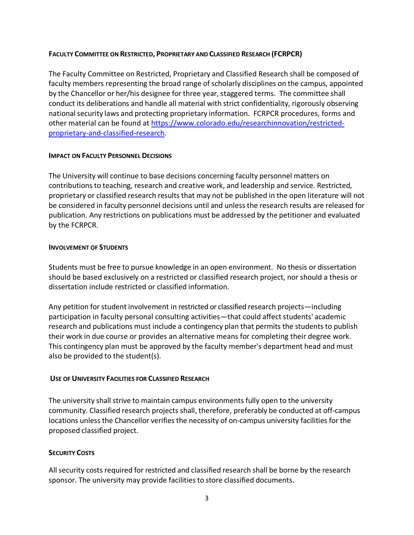### **FACULTY COMMITTEE ON RESTRICTED, PROPRIETARY AND CLASSIFIED RESEARCH (FCRPCR)**

The Faculty Committee on Restricted, Proprietary and Classified Research shall be composed of faculty members representing the broad range of scholarly disciplines on the campus, appointed by the Chancellor or her/his designee for three year, staggered terms. The committee shall conduct its deliberations and handle all material with strict confidentiality, rigorously observing national security laws and protecting proprietary information. FCRPCR procedures, forms and other material can be found at https://www.colorado.edu/researchinnovation/restrictedproprietary-and-classified-research.

#### **IMPACT ON FACULTY PERSONNEL DECISIONS**

The University will continue to base decisions concerning faculty personnel matters on contributions to teaching, research and creative work, and leadership and service. Restricted, proprietary or classified research results that may not be published in the open literature will not be considered in faculty personnel decisions until and unless the research results are released for publication. Any restrictions on publications must be addressed by the petitioner and evaluated by the FCRPCR.

#### **INVOLVEMENT OF STUDENTS**

Students must be free to pursue knowledge in an open environment. No thesis or dissertation should be based exclusively on a restricted or classified research project, nor should a thesis or dissertation include restricted or classified information.

Any petition for student involvement in restricted or classified research projects—including participation in faculty personal consulting activities—that could affect students' academic research and publications must include a contingency plan that permits the students to publish their work in due course or provides an alternative means for completing their degree work. This contingency plan must be approved by the faculty member's department head and must also be provided to the student(s).

## **USE OF UNIVERSITY FACILITIES FOR CLASSIFIED RESEARCH**

The university shall strive to maintain campus environments fully open to the university community. Classified research projects shall, therefore, preferably be conducted at off-campus locations unlessthe Chancellor verifies the necessity of on-campus university facilities for the proposed classified project.

## **SECURITY COSTS**

Allsecurity costs required for restricted and classified research shall be borne by the research sponsor. The university may provide facilities to store classified documents.